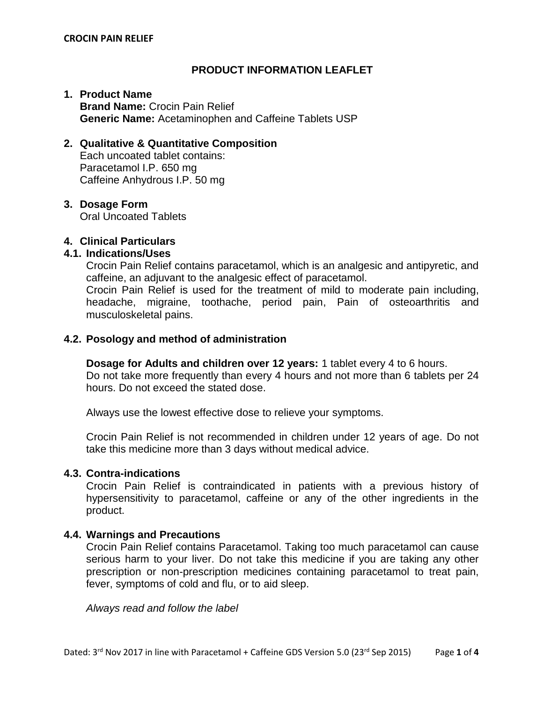# **PRODUCT INFORMATION LEAFLET**

## **1. Product Name Brand Name:** Crocin Pain Relief **Generic Name:** Acetaminophen and Caffeine Tablets USP

## **2. Qualitative & Quantitative Composition**  Each uncoated tablet contains: Paracetamol I.P. 650 mg

Caffeine Anhydrous I.P. 50 mg

#### **3. Dosage Form**  Oral Uncoated Tablets

# **4. Clinical Particulars**

# **4.1. Indications/Uses**

Crocin Pain Relief contains paracetamol, which is an analgesic and antipyretic, and caffeine, an adjuvant to the analgesic effect of paracetamol.

Crocin Pain Relief is used for the treatment of mild to moderate pain including, headache, migraine, toothache, period pain, Pain of osteoarthritis and musculoskeletal pains.

# **4.2. Posology and method of administration**

**Dosage for Adults and children over 12 years:** 1 tablet every 4 to 6 hours. Do not take more frequently than every 4 hours and not more than 6 tablets per 24 hours. Do not exceed the stated dose.

Always use the lowest effective dose to relieve your symptoms.

Crocin Pain Relief is not recommended in children under 12 years of age. Do not take this medicine more than 3 days without medical advice.

# **4.3. Contra-indications**

Crocin Pain Relief is contraindicated in patients with a previous history of hypersensitivity to paracetamol, caffeine or any of the other ingredients in the product.

# **4.4. Warnings and Precautions**

Crocin Pain Relief contains Paracetamol. Taking too much paracetamol can cause serious harm to your liver. Do not take this medicine if you are taking any other prescription or non-prescription medicines containing paracetamol to treat pain, fever, symptoms of cold and flu, or to aid sleep.

*Always read and follow the label*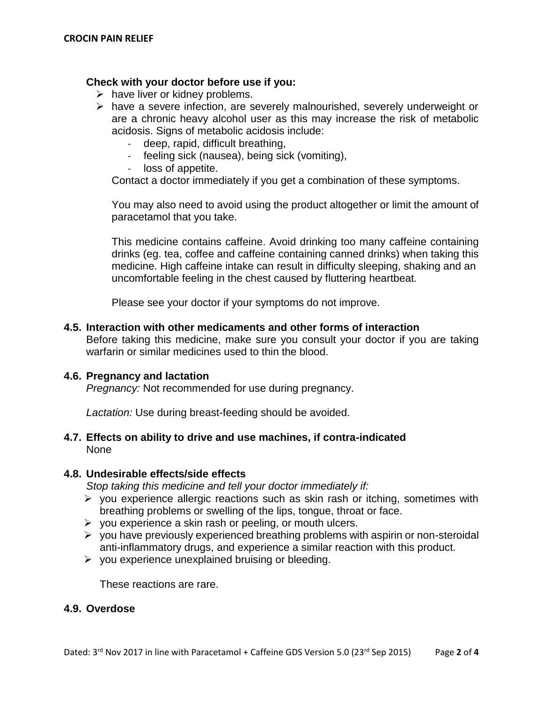### **Check with your doctor before use if you:**

- $\triangleright$  have liver or kidney problems.
- $\triangleright$  have a severe infection, are severely malnourished, severely underweight or are a chronic heavy alcohol user as this may increase the risk of metabolic acidosis. Signs of metabolic acidosis include:
	- *-* deep, rapid, difficult breathing,
	- *-* feeling sick (nausea), being sick (vomiting),
	- *-* loss of appetite.

Contact a doctor immediately if you get a combination of these symptoms.

You may also need to avoid using the product altogether or limit the amount of paracetamol that you take.

This medicine contains caffeine. Avoid drinking too many caffeine containing drinks (eg. tea, coffee and caffeine containing canned drinks) when taking this medicine. High caffeine intake can result in difficulty sleeping, shaking and an uncomfortable feeling in the chest caused by fluttering heartbeat*.* 

Please see your doctor if your symptoms do not improve.

**4.5. Interaction with other medicaments and other forms of interaction** 

Before taking this medicine, make sure you consult your doctor if you are taking warfarin or similar medicines used to thin the blood.

### **4.6. Pregnancy and lactation**

*Pregnancy:* Not recommended for use during pregnancy.

*Lactation:* Use during breast-feeding should be avoided.

## **4.7. Effects on ability to drive and use machines, if contra-indicated**  None

### **4.8. Undesirable effects/side effects**

*Stop taking this medicine and tell your doctor immediately if:* 

- $\triangleright$  you experience allergic reactions such as skin rash or itching, sometimes with breathing problems or swelling of the lips, tongue, throat or face.
- $\triangleright$  you experience a skin rash or peeling, or mouth ulcers.
- $\triangleright$  you have previously experienced breathing problems with aspirin or non-steroidal anti-inflammatory drugs, and experience a similar reaction with this product.
- $\triangleright$  you experience unexplained bruising or bleeding.

These reactions are rare.

### **4.9. Overdose**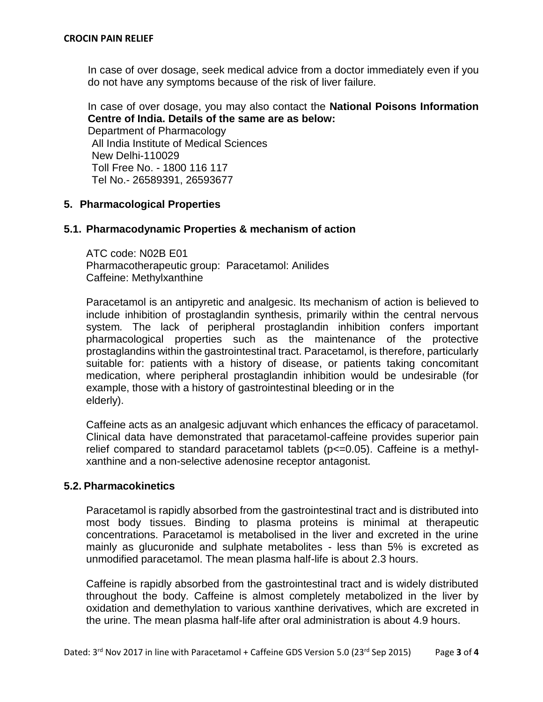In case of over dosage, seek medical advice from a doctor immediately even if you do not have any symptoms because of the risk of liver failure.

In case of over dosage, you may also contact the **National Poisons Information Centre of India. Details of the same are as below:**

Department of Pharmacology All India Institute of Medical Sciences New Delhi-110029 Toll Free No. - 1800 116 117 Tel No.- 26589391, 26593677

#### **5. Pharmacological Properties**

#### **5.1. Pharmacodynamic Properties & mechanism of action**

ATC code: N02B E01 Pharmacotherapeutic group: Paracetamol: Anilides Caffeine: Methylxanthine

Paracetamol is an antipyretic and analgesic. Its mechanism of action is believed to include inhibition of prostaglandin synthesis, primarily within the central nervous system*.* The lack of peripheral prostaglandin inhibition confers important pharmacological properties such as the maintenance of the protective prostaglandins within the gastrointestinal tract. Paracetamol, is therefore, particularly suitable for: patients with a history of disease, or patients taking concomitant medication, where peripheral prostaglandin inhibition would be undesirable (for example, those with a history of gastrointestinal bleeding or in the elderly).

Caffeine acts as an analgesic adjuvant which enhances the efficacy of paracetamol. Clinical data have demonstrated that paracetamol-caffeine provides superior pain relief compared to standard paracetamol tablets (p<=0.05). Caffeine is a methylxanthine and a non-selective adenosine receptor antagonist.

#### **5.2. Pharmacokinetics**

Paracetamol is rapidly absorbed from the gastrointestinal tract and is distributed into most body tissues. Binding to plasma proteins is minimal at therapeutic concentrations. Paracetamol is metabolised in the liver and excreted in the urine mainly as glucuronide and sulphate metabolites - less than 5% is excreted as unmodified paracetamol. The mean plasma half-life is about 2.3 hours.

Caffeine is rapidly absorbed from the gastrointestinal tract and is widely distributed throughout the body. Caffeine is almost completely metabolized in the liver by oxidation and demethylation to various xanthine derivatives, which are excreted in the urine. The mean plasma half-life after oral administration is about 4.9 hours.